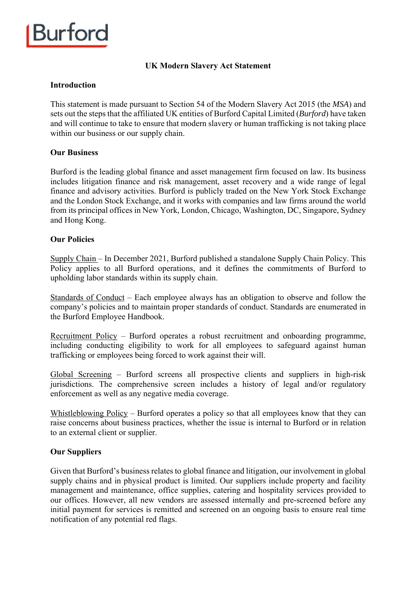

## **UK Modern Slavery Act Statement**

#### **Introduction**

This statement is made pursuant to Section 54 of the Modern Slavery Act 2015 (the *MSA*) and sets out the steps that the affiliated UK entities of Burford Capital Limited (*Burford*) have taken and will continue to take to ensure that modern slavery or human trafficking is not taking place within our business or our supply chain.

#### **Our Business**

Burford is the leading global finance and asset management firm focused on law. Its business includes litigation finance and risk management, asset recovery and a wide range of legal finance and advisory activities. Burford is publicly traded on the New York Stock Exchange and the London Stock Exchange, and it works with companies and law firms around the world from its principal offices in New York, London, Chicago, Washington, DC, Singapore, Sydney and Hong Kong.

#### **Our Policies**

Supply Chain – In December 2021, Burford published a standalone Supply Chain Policy. This Policy applies to all Burford operations, and it defines the commitments of Burford to upholding labor standards within its supply chain.

Standards of Conduct – Each employee always has an obligation to observe and follow the company's policies and to maintain proper standards of conduct. Standards are enumerated in the Burford Employee Handbook.

Recruitment Policy – Burford operates a robust recruitment and onboarding programme, including conducting eligibility to work for all employees to safeguard against human trafficking or employees being forced to work against their will.

Global Screening – Burford screens all prospective clients and suppliers in high-risk jurisdictions. The comprehensive screen includes a history of legal and/or regulatory enforcement as well as any negative media coverage.

Whistleblowing Policy – Burford operates a policy so that all employees know that they can raise concerns about business practices, whether the issue is internal to Burford or in relation to an external client or supplier.

#### **Our Suppliers**

Given that Burford's business relates to global finance and litigation, our involvement in global supply chains and in physical product is limited. Our suppliers include property and facility management and maintenance, office supplies, catering and hospitality services provided to our offices. However, all new vendors are assessed internally and pre-screened before any initial payment for services is remitted and screened on an ongoing basis to ensure real time notification of any potential red flags.